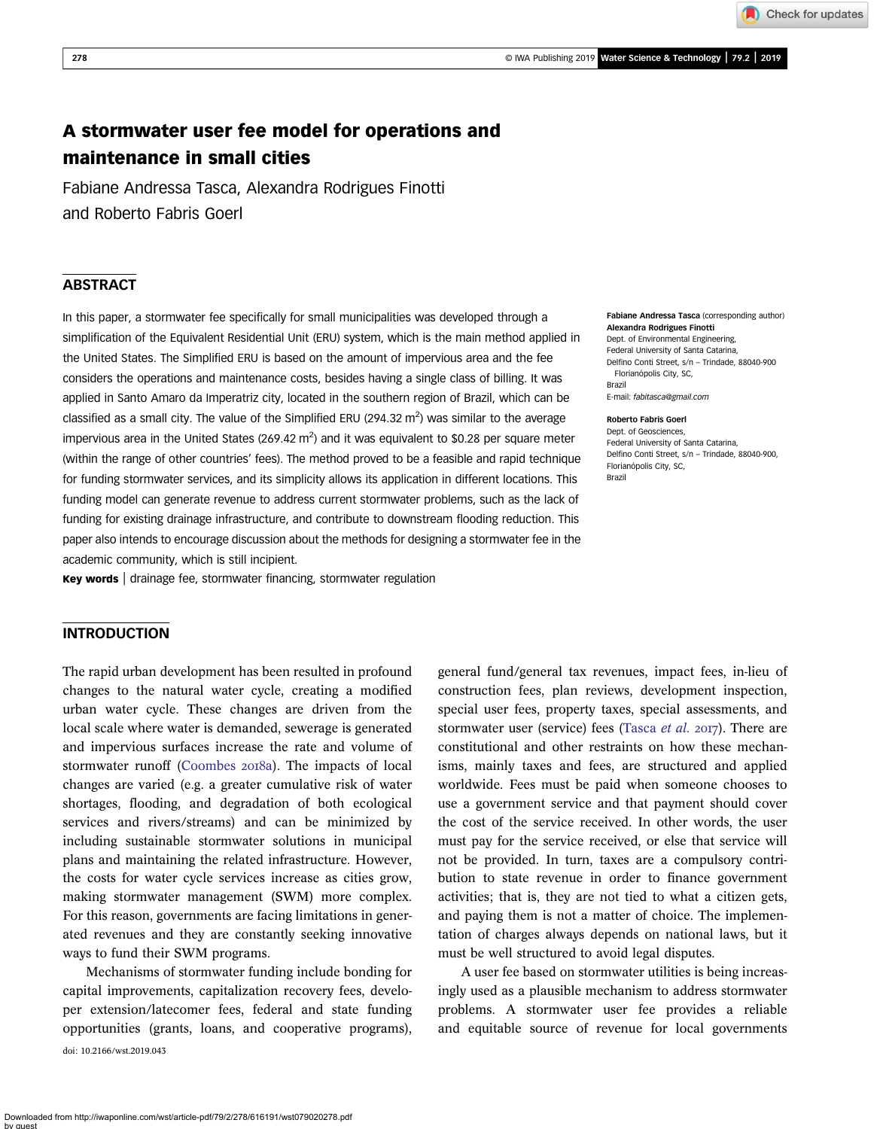# A stormwater user fee model for operations and maintenance in small cities

Fabiane Andressa Tasca, Alexandra Rodrigues Finotti and Roberto Fabris Goerl

### ABSTRACT

In this paper, a stormwater fee specifically for small municipalities was developed through a simplification of the Equivalent Residential Unit (ERU) system, which is the main method applied in the United States. The Simplified ERU is based on the amount of impervious area and the fee considers the operations and maintenance costs, besides having a single class of billing. It was applied in Santo Amaro da Imperatriz city, located in the southern region of Brazil, which can be classified as a small city. The value of the Simplified ERU (294.32  $m^2$ ) was similar to the average impervious area in the United States (269.42 m<sup>2</sup>) and it was equivalent to \$0.28 per square meter (within the range of other countries' fees). The method proved to be a feasible and rapid technique for funding stormwater services, and its simplicity allows its application in different locations. This funding model can generate revenue to address current stormwater problems, such as the lack of funding for existing drainage infrastructure, and contribute to downstream flooding reduction. This paper also intends to encourage discussion about the methods for designing a stormwater fee in the academic community, which is still incipient.

Key words | drainage fee, stormwater financing, stormwater regulation

# INTRODUCTION

The rapid urban development has been resulted in profound changes to the natural water cycle, creating a modified urban water cycle. These changes are driven from the local scale where water is demanded, sewerage is generated and impervious surfaces increase the rate and volume of stormwater runoff ([Coombes](#page-12-0) 2018a). The impacts of local changes are varied (e.g. a greater cumulative risk of water shortages, flooding, and degradation of both ecological services and rivers/streams) and can be minimized by including sustainable stormwater solutions in municipal plans and maintaining the related infrastructure. However, the costs for water cycle services increase as cities grow, making stormwater management (SWM) more complex. For this reason, governments are facing limitations in generated revenues and they are constantly seeking innovative ways to fund their SWM programs.

Mechanisms of stormwater funding include bonding for capital improvements, capitalization recovery fees, developer extension/latecomer fees, federal and state funding opportunities (grants, loans, and cooperative programs), doi: 10.2166/wst.2019.043

#### Delfino Conti Street, s/n – Trindade, 88040-900 Florianópolis City, SC, Brazil E-mail: [fabitasca@gmail.com](mailto:fabitasca@gmail.com)

Alexandra Rodrigues Finotti Dept. of Environmental Engineering, Federal University of Santa Catarina,

#### Roberto Fabris Goerl

Dept. of Geosciences, Federal University of Santa Catarina, Delfino Conti Street, s/n – Trindade, 88040-900, Florianópolis City, SC, Brazil

Fabiane Andressa Tasca (corresponding author)

Check for updates

general fund/general tax revenues, impact fees, in-lieu of construction fees, plan reviews, development inspection, special user fees, property taxes, special assessments, and stormwater user (service) fees ([Tasca](#page-12-0) et al.  $2017$ ). There are constitutional and other restraints on how these mechanisms, mainly taxes and fees, are structured and applied worldwide. Fees must be paid when someone chooses to use a government service and that payment should cover the cost of the service received. In other words, the user must pay for the service received, or else that service will not be provided. In turn, taxes are a compulsory contribution to state revenue in order to finance government activities; that is, they are not tied to what a citizen gets, and paying them is not a matter of choice. The implementation of charges always depends on national laws, but it must be well structured to avoid legal disputes.

A user fee based on stormwater utilities is being increasingly used as a plausible mechanism to address stormwater problems. A stormwater user fee provides a reliable and equitable source of revenue for local governments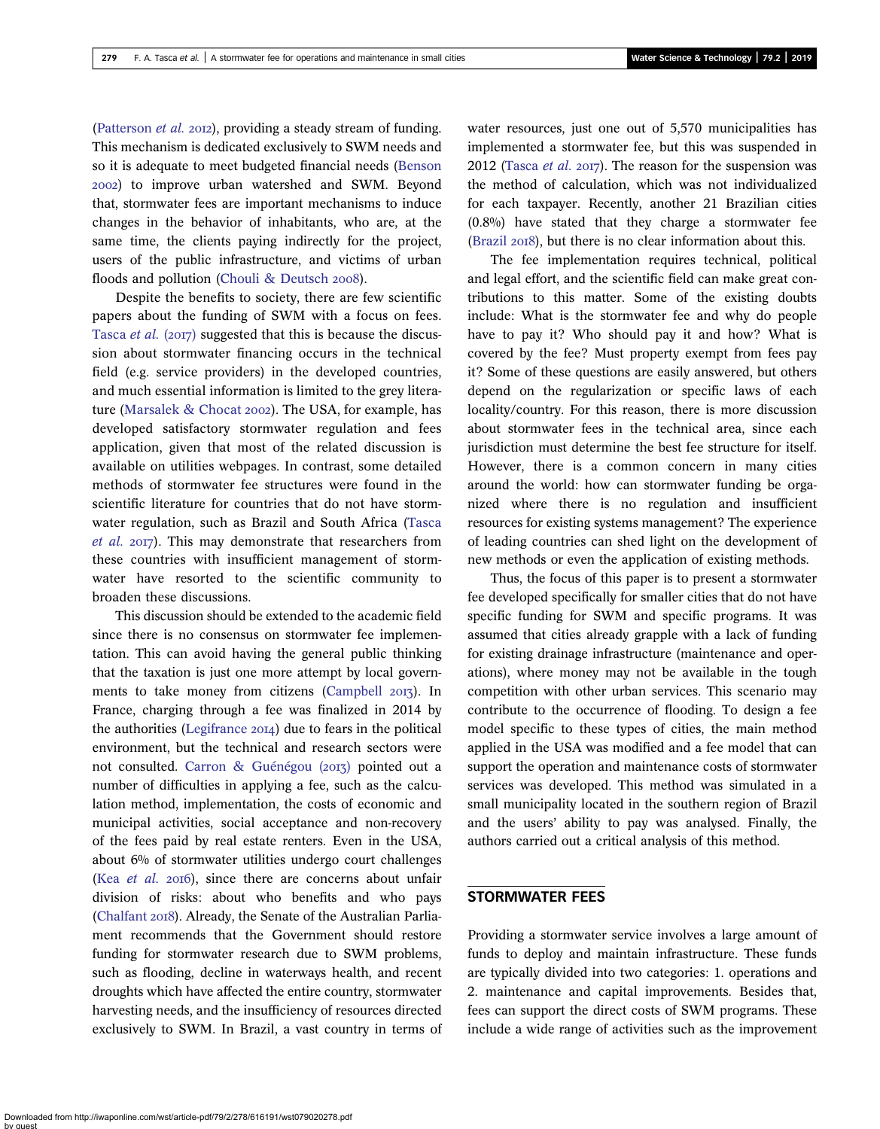[\(Patterson](#page-12-0) et al. 2012), providing a steady stream of funding. This mechanism is dedicated exclusively to SWM needs and so it is adequate to meet budgeted financial needs ([Benson](#page-11-0) ) to improve urban watershed and SWM. Beyond that, stormwater fees are important mechanisms to induce changes in the behavior of inhabitants, who are, at the same time, the clients paying indirectly for the project, users of the public infrastructure, and victims of urban floods and pollution ([Chouli & Deutsch](#page-12-0) 2008).

Despite the benefits to society, there are few scientific papers about the funding of SWM with a focus on fees. [Tasca](#page-12-0) *et al.* (2017) suggested that this is because the discussion about stormwater financing occurs in the technical field (e.g. service providers) in the developed countries, and much essential information is limited to the grey litera-ture ([Marsalek & Chocat](#page-12-0) 2002). The USA, for example, has developed satisfactory stormwater regulation and fees application, given that most of the related discussion is available on utilities webpages. In contrast, some detailed methods of stormwater fee structures were found in the scientific literature for countries that do not have stormwater regulation, such as Brazil and South Africa ([Tasca](#page-12-0) [et al.](#page-12-0) 2017). This may demonstrate that researchers from these countries with insufficient management of stormwater have resorted to the scientific community to broaden these discussions.

This discussion should be extended to the academic field since there is no consensus on stormwater fee implementation. This can avoid having the general public thinking that the taxation is just one more attempt by local govern-ments to take money from citizens [\(Campbell](#page-12-0) 2013). In France, charging through a fee was finalized in 2014 by the authorities [\(Legifrance](#page-12-0)  $20I4$ ) due to fears in the political environment, but the technical and research sectors were not consulted. [Carron & Guénégou \(](#page-12-0)2013) pointed out a number of difficulties in applying a fee, such as the calculation method, implementation, the costs of economic and municipal activities, social acceptance and non-recovery of the fees paid by real estate renters. Even in the USA, about 6% of stormwater utilities undergo court challenges (Kea *[et al.](#page-12-0)* 2016), since there are concerns about unfair division of risks: about who benefits and who pays [\(Chalfant](#page-12-0) 2018). Already, the Senate of the Australian Parliament recommends that the Government should restore funding for stormwater research due to SWM problems, such as flooding, decline in waterways health, and recent droughts which have affected the entire country, stormwater harvesting needs, and the insufficiency of resources directed exclusively to SWM. In Brazil, a vast country in terms of water resources, just one out of 5,570 municipalities has implemented a stormwater fee, but this was suspended in 2012 [\(Tasca](#page-12-0) *et al.* 2017). The reason for the suspension was the method of calculation, which was not individualized for each taxpayer. Recently, another 21 Brazilian cities (0.8%) have stated that they charge a stormwater fee [\(Brazil](#page-11-0) 2018), but there is no clear information about this.

The fee implementation requires technical, political and legal effort, and the scientific field can make great contributions to this matter. Some of the existing doubts include: What is the stormwater fee and why do people have to pay it? Who should pay it and how? What is covered by the fee? Must property exempt from fees pay it? Some of these questions are easily answered, but others depend on the regularization or specific laws of each locality/country. For this reason, there is more discussion about stormwater fees in the technical area, since each jurisdiction must determine the best fee structure for itself. However, there is a common concern in many cities around the world: how can stormwater funding be organized where there is no regulation and insufficient resources for existing systems management? The experience of leading countries can shed light on the development of new methods or even the application of existing methods.

Thus, the focus of this paper is to present a stormwater fee developed specifically for smaller cities that do not have specific funding for SWM and specific programs. It was assumed that cities already grapple with a lack of funding for existing drainage infrastructure (maintenance and operations), where money may not be available in the tough competition with other urban services. This scenario may contribute to the occurrence of flooding. To design a fee model specific to these types of cities, the main method applied in the USA was modified and a fee model that can support the operation and maintenance costs of stormwater services was developed. This method was simulated in a small municipality located in the southern region of Brazil and the users' ability to pay was analysed. Finally, the authors carried out a critical analysis of this method.

# STORMWATER FEES

Providing a stormwater service involves a large amount of funds to deploy and maintain infrastructure. These funds are typically divided into two categories: 1. operations and 2. maintenance and capital improvements. Besides that, fees can support the direct costs of SWM programs. These include a wide range of activities such as the improvement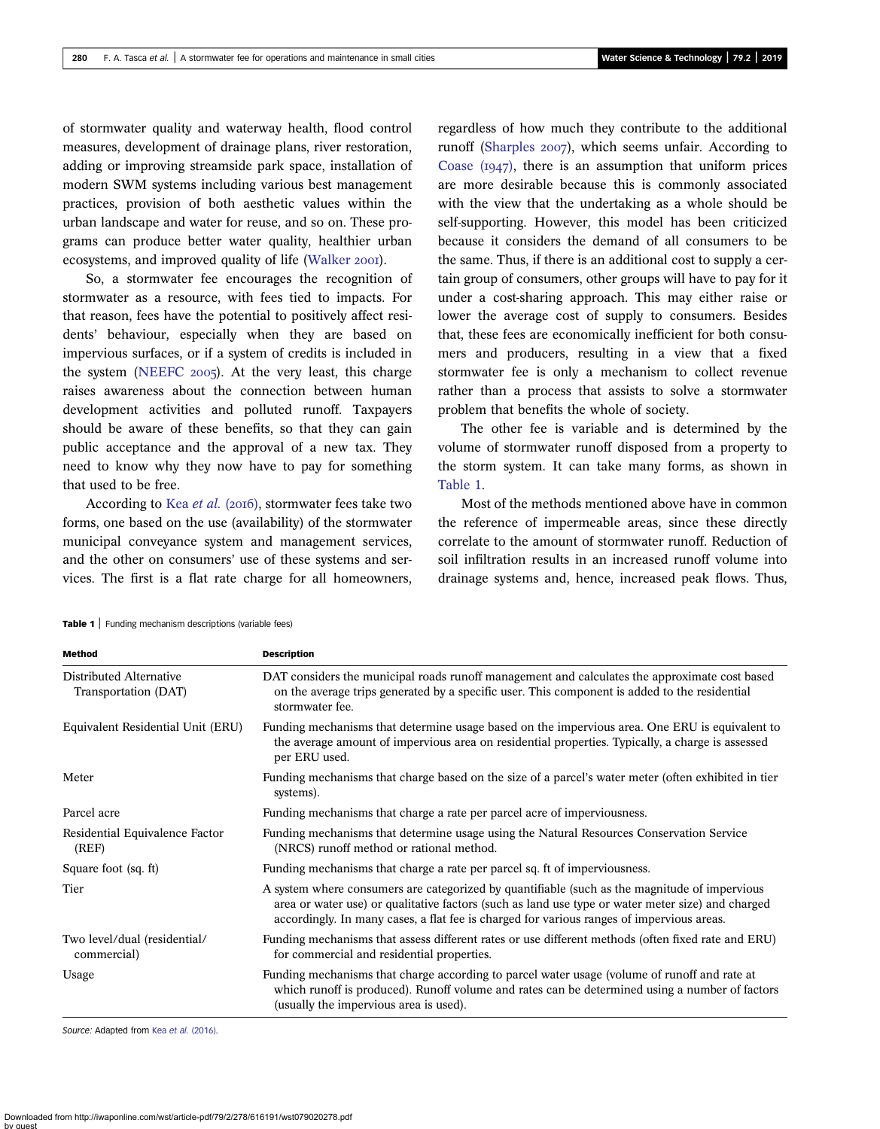of stormwater quality and waterway health, flood control measures, development of drainage plans, river restoration, adding or improving streamside park space, installation of modern SWM systems including various best management practices, provision of both aesthetic values within the urban landscape and water for reuse, and so on. These programs can produce better water quality, healthier urban ecosystems, and improved quality of life [\(Walker](#page-12-0) 2001).

So, a stormwater fee encourages the recognition of stormwater as a resource, with fees tied to impacts. For that reason, fees have the potential to positively affect residents' behaviour, especially when they are based on impervious surfaces, or if a system of credits is included in the system ([NEEFC](#page-12-0)  $2005$ ). At the very least, this charge raises awareness about the connection between human development activities and polluted runoff. Taxpayers should be aware of these benefits, so that they can gain public acceptance and the approval of a new tax. They need to know why they now have to pay for something that used to be free.

According to Kea *[et al.](#page-12-0)* (2016), stormwater fees take two forms, one based on the use (availability) of the stormwater municipal conveyance system and management services, and the other on consumers' use of these systems and services. The first is a flat rate charge for all homeowners,

regardless of how much they contribute to the additional runoff ([Sharples](#page-12-0) 2007), which seems unfair. According to Coase  $(1947)$ , there is an assumption that uniform prices are more desirable because this is commonly associated with the view that the undertaking as a whole should be self-supporting. However, this model has been criticized because it considers the demand of all consumers to be the same. Thus, if there is an additional cost to supply a certain group of consumers, other groups will have to pay for it under a cost-sharing approach. This may either raise or lower the average cost of supply to consumers. Besides that, these fees are economically inefficient for both consumers and producers, resulting in a view that a fixed stormwater fee is only a mechanism to collect revenue rather than a process that assists to solve a stormwater problem that benefits the whole of society.

The other fee is variable and is determined by the volume of stormwater runoff disposed from a property to the storm system. It can take many forms, as shown in Table 1.

Most of the methods mentioned above have in common the reference of impermeable areas, since these directly correlate to the amount of stormwater runoff. Reduction of soil infiltration results in an increased runoff volume into drainage systems and, hence, increased peak flows. Thus,

| Method                                          | <b>Description</b>                                                                                                                                                                                                                                                                              |
|-------------------------------------------------|-------------------------------------------------------------------------------------------------------------------------------------------------------------------------------------------------------------------------------------------------------------------------------------------------|
| Distributed Alternative<br>Transportation (DAT) | DAT considers the municipal roads runoff management and calculates the approximate cost based<br>on the average trips generated by a specific user. This component is added to the residential<br>stormwater fee.                                                                               |
| Equivalent Residential Unit (ERU)               | Funding mechanisms that determine usage based on the impervious area. One ERU is equivalent to<br>the average amount of impervious area on residential properties. Typically, a charge is assessed<br>per ERU used.                                                                             |
| Meter                                           | Funding mechanisms that charge based on the size of a parcel's water meter (often exhibited in tier<br>systems).                                                                                                                                                                                |
| Parcel acre                                     | Funding mechanisms that charge a rate per parcel acre of imperviousness.                                                                                                                                                                                                                        |
| Residential Equivalence Factor<br>(REF)         | Funding mechanisms that determine usage using the Natural Resources Conservation Service<br>(NRCS) runoff method or rational method.                                                                                                                                                            |
| Square foot (sq. ft)                            | Funding mechanisms that charge a rate per parcel sq. ft of imperviousness.                                                                                                                                                                                                                      |
| Tier                                            | A system where consumers are categorized by quantifiable (such as the magnitude of impervious<br>area or water use) or qualitative factors (such as land use type or water meter size) and charged<br>accordingly. In many cases, a flat fee is charged for various ranges of impervious areas. |
| Two level/dual (residential/<br>commercial)     | Funding mechanisms that assess different rates or use different methods (often fixed rate and ERU)<br>for commercial and residential properties.                                                                                                                                                |
| Usage                                           | Funding mechanisms that charge according to parcel water usage (volume of runoff and rate at<br>which runoff is produced). Runoff volume and rates can be determined using a number of factors<br>(usually the impervious area is used).                                                        |

Table 1 | Funding mechanism descriptions (variable fees)

Source: Adapted from Kea et al. [\(2016\)](#page-12-0).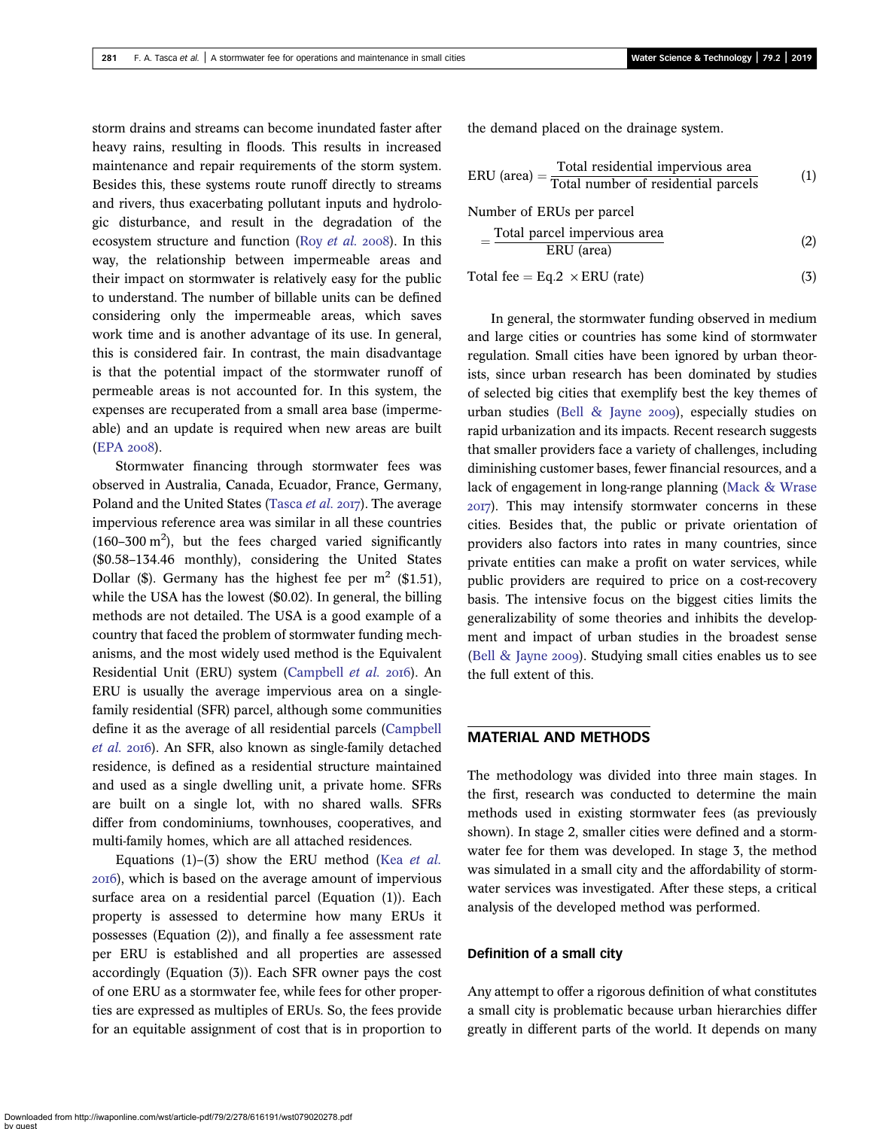storm drains and streams can become inundated faster after heavy rains, resulting in floods. This results in increased maintenance and repair requirements of the storm system. Besides this, these systems route runoff directly to streams and rivers, thus exacerbating pollutant inputs and hydrologic disturbance, and result in the degradation of the ecosystem structure and function (Roy [et al.](#page-12-0) 2008). In this way, the relationship between impermeable areas and their impact on stormwater is relatively easy for the public to understand. The number of billable units can be defined considering only the impermeable areas, which saves work time and is another advantage of its use. In general, this is considered fair. In contrast, the main disadvantage is that the potential impact of the stormwater runoff of permeable areas is not accounted for. In this system, the expenses are recuperated from a small area base (impermeable) and an update is required when new areas are built [\(EPA](#page-12-0) 2008).

Stormwater financing through stormwater fees was observed in Australia, Canada, Ecuador, France, Germany, Poland and the United States ([Tasca](#page-12-0) et al. 2017). The average impervious reference area was similar in all these countries  $(160-300 \text{ m}^2)$ , but the fees charged varied significantly (\$0.58–134.46 monthly), considering the United States Dollar (\$). Germany has the highest fee per  $m^2$  (\$1.51), while the USA has the lowest (\$0.02). In general, the billing methods are not detailed. The USA is a good example of a country that faced the problem of stormwater funding mechanisms, and the most widely used method is the Equivalent Residential Unit (ERU) system [\(Campbell](#page-12-0) et al. 2016). An ERU is usually the average impervious area on a singlefamily residential (SFR) parcel, although some communities define it as the average of all residential parcels [\(Campbell](#page-12-0) [et al.](#page-12-0) 2016). An SFR, also known as single-family detached residence, is defined as a residential structure maintained and used as a single dwelling unit, a private home. SFRs are built on a single lot, with no shared walls. SFRs differ from condominiums, townhouses, cooperatives, and multi-family homes, which are all attached residences.

Equations  $(1)$ – $(3)$  show the ERU method (Kea [et al.](#page-12-0) ), which is based on the average amount of impervious surface area on a residential parcel (Equation (1)). Each property is assessed to determine how many ERUs it possesses (Equation (2)), and finally a fee assessment rate per ERU is established and all properties are assessed accordingly (Equation (3)). Each SFR owner pays the cost of one ERU as a stormwater fee, while fees for other properties are expressed as multiples of ERUs. So, the fees provide for an equitable assignment of cost that is in proportion to

the demand placed on the drainage system.

$$
ERU (area) = \frac{Total \text{ residual}{Total number of residual number}}{(1)}
$$
 (1)

Number of ERUs per parcel

$$
=\frac{\text{Total parcel impervious area}}{\text{ERU (area)}}\tag{2}
$$

$$
Total fee = Eq.2 \times ERU (rate)
$$
 (3)

In general, the stormwater funding observed in medium and large cities or countries has some kind of stormwater regulation. Small cities have been ignored by urban theorists, since urban research has been dominated by studies of selected big cities that exemplify best the key themes of urban studies [\(Bell & Jayne](#page-11-0) 2009), especially studies on rapid urbanization and its impacts. Recent research suggests that smaller providers face a variety of challenges, including diminishing customer bases, fewer financial resources, and a lack of engagement in long-range planning [\(Mack & Wrase](#page-12-0) ). This may intensify stormwater concerns in these cities. Besides that, the public or private orientation of providers also factors into rates in many countries, since private entities can make a profit on water services, while public providers are required to price on a cost-recovery basis. The intensive focus on the biggest cities limits the generalizability of some theories and inhibits the development and impact of urban studies in the broadest sense [\(Bell & Jayne](#page-11-0) 2009). Studying small cities enables us to see the full extent of this.

# MATERIAL AND METHODS

The methodology was divided into three main stages. In the first, research was conducted to determine the main methods used in existing stormwater fees (as previously shown). In stage 2, smaller cities were defined and a stormwater fee for them was developed. In stage 3, the method was simulated in a small city and the affordability of stormwater services was investigated. After these steps, a critical analysis of the developed method was performed.

### Definition of a small city

Any attempt to offer a rigorous definition of what constitutes a small city is problematic because urban hierarchies differ greatly in different parts of the world. It depends on many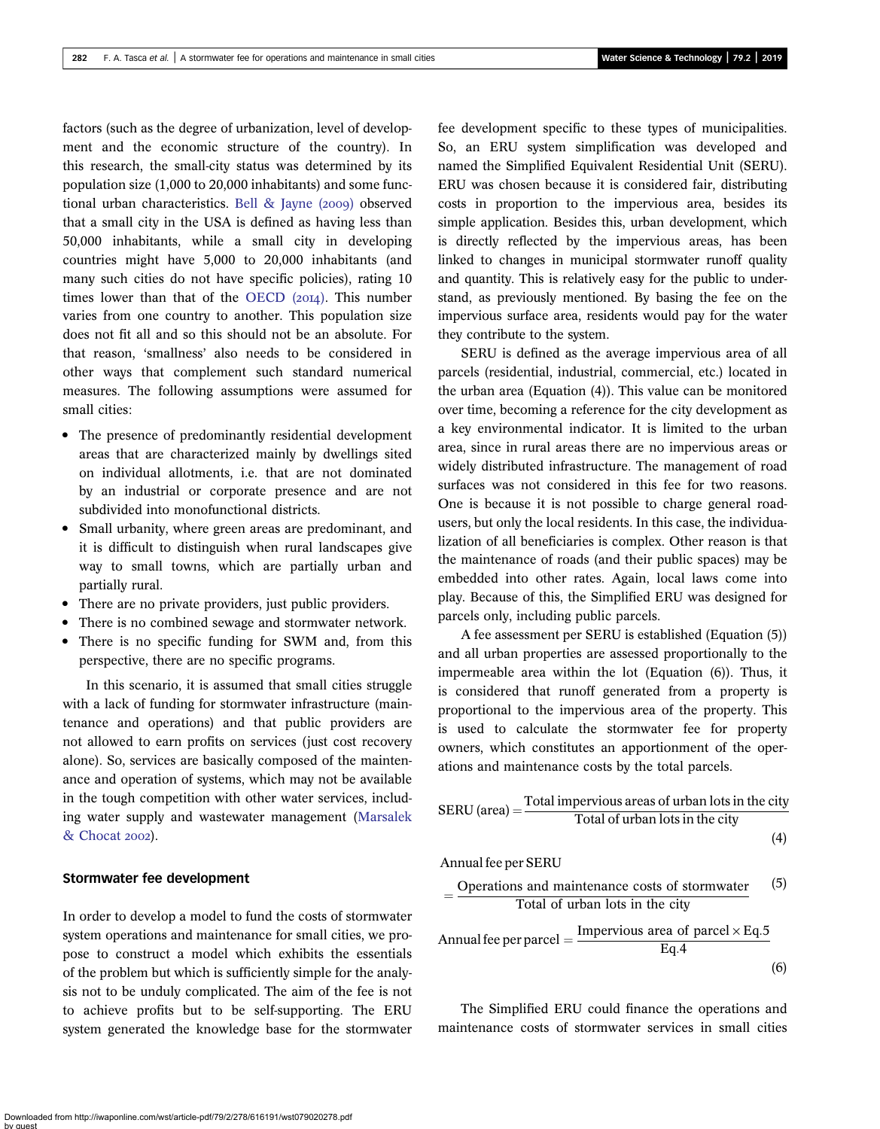factors (such as the degree of urbanization, level of development and the economic structure of the country). In this research, the small-city status was determined by its population size (1,000 to 20,000 inhabitants) and some functional urban characteristics. Bell & Jayne  $(2009)$  observed that a small city in the USA is defined as having less than 50,000 inhabitants, while a small city in developing countries might have 5,000 to 20,000 inhabitants (and many such cities do not have specific policies), rating 10 times lower than that of the OECD  $(20I4)$ . This number varies from one country to another. This population size does not fit all and so this should not be an absolute. For that reason, 'smallness' also needs to be considered in other ways that complement such standard numerical measures. The following assumptions were assumed for small cities:

- The presence of predominantly residential development areas that are characterized mainly by dwellings sited on individual allotments, i.e. that are not dominated by an industrial or corporate presence and are not subdivided into monofunctional districts.
- Small urbanity, where green areas are predominant, and it is difficult to distinguish when rural landscapes give way to small towns, which are partially urban and partially rural.
- There are no private providers, just public providers.
- There is no combined sewage and stormwater network.
- There is no specific funding for SWM and, from this perspective, there are no specific programs.

In this scenario, it is assumed that small cities struggle with a lack of funding for stormwater infrastructure (maintenance and operations) and that public providers are not allowed to earn profits on services (just cost recovery alone). So, services are basically composed of the maintenance and operation of systems, which may not be available in the tough competition with other water services, including water supply and wastewater management ([Marsalek](#page-12-0) [& Chocat](#page-12-0) 2002).

#### Stormwater fee development

In order to develop a model to fund the costs of stormwater system operations and maintenance for small cities, we propose to construct a model which exhibits the essentials of the problem but which is sufficiently simple for the analysis not to be unduly complicated. The aim of the fee is not to achieve profits but to be self-supporting. The ERU system generated the knowledge base for the stormwater fee development specific to these types of municipalities. So, an ERU system simplification was developed and named the Simplified Equivalent Residential Unit (SERU). ERU was chosen because it is considered fair, distributing costs in proportion to the impervious area, besides its simple application. Besides this, urban development, which is directly reflected by the impervious areas, has been linked to changes in municipal stormwater runoff quality and quantity. This is relatively easy for the public to understand, as previously mentioned. By basing the fee on the impervious surface area, residents would pay for the water they contribute to the system.

SERU is defined as the average impervious area of all parcels (residential, industrial, commercial, etc.) located in the urban area (Equation (4)). This value can be monitored over time, becoming a reference for the city development as a key environmental indicator. It is limited to the urban area, since in rural areas there are no impervious areas or widely distributed infrastructure. The management of road surfaces was not considered in this fee for two reasons. One is because it is not possible to charge general roadusers, but only the local residents. In this case, the individualization of all beneficiaries is complex. Other reason is that the maintenance of roads (and their public spaces) may be embedded into other rates. Again, local laws come into play. Because of this, the Simplified ERU was designed for parcels only, including public parcels.

A fee assessment per SERU is established (Equation (5)) and all urban properties are assessed proportionally to the impermeable area within the lot (Equation (6)). Thus, it is considered that runoff generated from a property is proportional to the impervious area of the property. This is used to calculate the stormwater fee for property owners, which constitutes an apportionment of the operations and maintenance costs by the total parcels.

$$
SERU (area) = \frac{Total \text{ impervious areas of urban lots in the city}}{\text{Total of urban lots in the city}}
$$
\n(4)

Annual fee per SERU

$$
= \frac{\text{Operations and maintenance costs of stormwater}}{\text{Total of urban lots in the city}} \tag{5}
$$

Annual fee per parcel = 
$$
\frac{\text{Impervious area of parcel} \times \text{Eq.5}}{\text{Eq.4}}
$$
(6)

The Simplified ERU could finance the operations and maintenance costs of stormwater services in small cities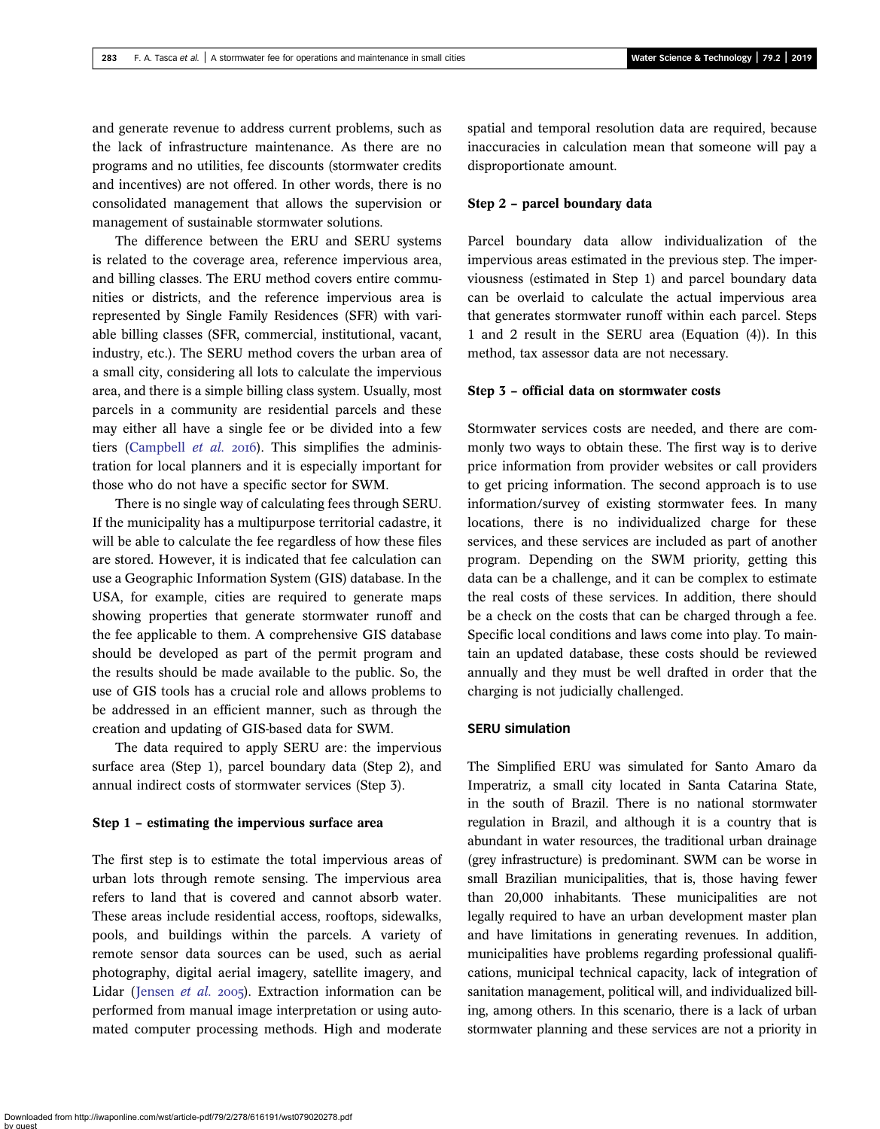and generate revenue to address current problems, such as the lack of infrastructure maintenance. As there are no programs and no utilities, fee discounts (stormwater credits and incentives) are not offered. In other words, there is no consolidated management that allows the supervision or management of sustainable stormwater solutions.

The difference between the ERU and SERU systems is related to the coverage area, reference impervious area, and billing classes. The ERU method covers entire communities or districts, and the reference impervious area is represented by Single Family Residences (SFR) with variable billing classes (SFR, commercial, institutional, vacant, industry, etc.). The SERU method covers the urban area of a small city, considering all lots to calculate the impervious area, and there is a simple billing class system. Usually, most parcels in a community are residential parcels and these may either all have a single fee or be divided into a few tiers ([Campbell](#page-12-0) *et al.*  $2016$ ). This simplifies the administration for local planners and it is especially important for those who do not have a specific sector for SWM.

There is no single way of calculating fees through SERU. If the municipality has a multipurpose territorial cadastre, it will be able to calculate the fee regardless of how these files are stored. However, it is indicated that fee calculation can use a Geographic Information System (GIS) database. In the USA, for example, cities are required to generate maps showing properties that generate stormwater runoff and the fee applicable to them. A comprehensive GIS database should be developed as part of the permit program and the results should be made available to the public. So, the use of GIS tools has a crucial role and allows problems to be addressed in an efficient manner, such as through the creation and updating of GIS-based data for SWM.

The data required to apply SERU are: the impervious surface area (Step 1), parcel boundary data (Step 2), and annual indirect costs of stormwater services (Step 3).

#### Step 1 – estimating the impervious surface area

The first step is to estimate the total impervious areas of urban lots through remote sensing. The impervious area refers to land that is covered and cannot absorb water. These areas include residential access, rooftops, sidewalks, pools, and buildings within the parcels. A variety of remote sensor data sources can be used, such as aerial photography, digital aerial imagery, satellite imagery, and Lidar ([Jensen](#page-12-0) et al. 2005). Extraction information can be performed from manual image interpretation or using automated computer processing methods. High and moderate spatial and temporal resolution data are required, because inaccuracies in calculation mean that someone will pay a disproportionate amount.

# Step 2 – parcel boundary data

Parcel boundary data allow individualization of the impervious areas estimated in the previous step. The imperviousness (estimated in Step 1) and parcel boundary data can be overlaid to calculate the actual impervious area that generates stormwater runoff within each parcel. Steps 1 and 2 result in the SERU area (Equation (4)). In this method, tax assessor data are not necessary.

### Step 3 – official data on stormwater costs

Stormwater services costs are needed, and there are commonly two ways to obtain these. The first way is to derive price information from provider websites or call providers to get pricing information. The second approach is to use information/survey of existing stormwater fees. In many locations, there is no individualized charge for these services, and these services are included as part of another program. Depending on the SWM priority, getting this data can be a challenge, and it can be complex to estimate the real costs of these services. In addition, there should be a check on the costs that can be charged through a fee. Specific local conditions and laws come into play. To maintain an updated database, these costs should be reviewed annually and they must be well drafted in order that the charging is not judicially challenged.

#### SERU simulation

The Simplified ERU was simulated for Santo Amaro da Imperatriz, a small city located in Santa Catarina State, in the south of Brazil. There is no national stormwater regulation in Brazil, and although it is a country that is abundant in water resources, the traditional urban drainage (grey infrastructure) is predominant. SWM can be worse in small Brazilian municipalities, that is, those having fewer than 20,000 inhabitants. These municipalities are not legally required to have an urban development master plan and have limitations in generating revenues. In addition, municipalities have problems regarding professional qualifications, municipal technical capacity, lack of integration of sanitation management, political will, and individualized billing, among others. In this scenario, there is a lack of urban stormwater planning and these services are not a priority in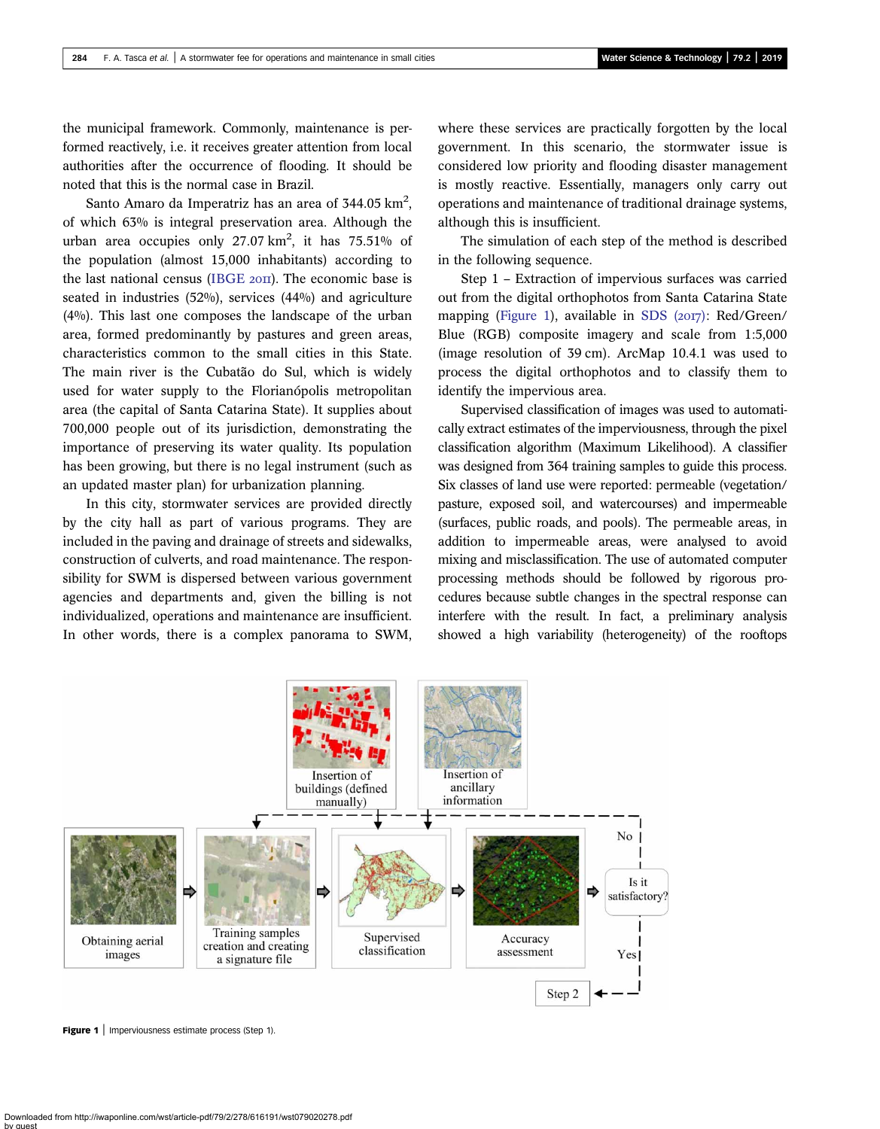the municipal framework. Commonly, maintenance is performed reactively, i.e. it receives greater attention from local authorities after the occurrence of flooding. It should be noted that this is the normal case in Brazil.

Santo Amaro da Imperatriz has an area of 344.05  $\text{km}^2$ , of which 63% is integral preservation area. Although the urban area occupies only 27.07  $km^2$ , it has 75.51% of the population (almost 15,000 inhabitants) according to the last national census [\(IBGE](#page-12-0)  $20\text{II}$ ). The economic base is seated in industries (52%), services (44%) and agriculture (4%). This last one composes the landscape of the urban area, formed predominantly by pastures and green areas, characteristics common to the small cities in this State. The main river is the Cubatão do Sul, which is widely used for water supply to the Florianópolis metropolitan area (the capital of Santa Catarina State). It supplies about 700,000 people out of its jurisdiction, demonstrating the importance of preserving its water quality. Its population has been growing, but there is no legal instrument (such as an updated master plan) for urbanization planning.

In this city, stormwater services are provided directly by the city hall as part of various programs. They are included in the paving and drainage of streets and sidewalks, construction of culverts, and road maintenance. The responsibility for SWM is dispersed between various government agencies and departments and, given the billing is not individualized, operations and maintenance are insufficient. In other words, there is a complex panorama to SWM, where these services are practically forgotten by the local government. In this scenario, the stormwater issue is considered low priority and flooding disaster management is mostly reactive. Essentially, managers only carry out operations and maintenance of traditional drainage systems, although this is insufficient.

The simulation of each step of the method is described in the following sequence.

Step 1 – Extraction of impervious surfaces was carried out from the digital orthophotos from Santa Catarina State mapping (Figure 1), available in SDS  $(2017)$ : Red/Green/ Blue (RGB) composite imagery and scale from 1:5,000 (image resolution of 39 cm). ArcMap 10.4.1 was used to process the digital orthophotos and to classify them to identify the impervious area.

Supervised classification of images was used to automatically extract estimates of the imperviousness, through the pixel classification algorithm (Maximum Likelihood). A classifier was designed from 364 training samples to guide this process. Six classes of land use were reported: permeable (vegetation/ pasture, exposed soil, and watercourses) and impermeable (surfaces, public roads, and pools). The permeable areas, in addition to impermeable areas, were analysed to avoid mixing and misclassification. The use of automated computer processing methods should be followed by rigorous procedures because subtle changes in the spectral response can interfere with the result. In fact, a preliminary analysis showed a high variability (heterogeneity) of the rooftops



Figure 1 | Imperviousness estimate process (Step 1).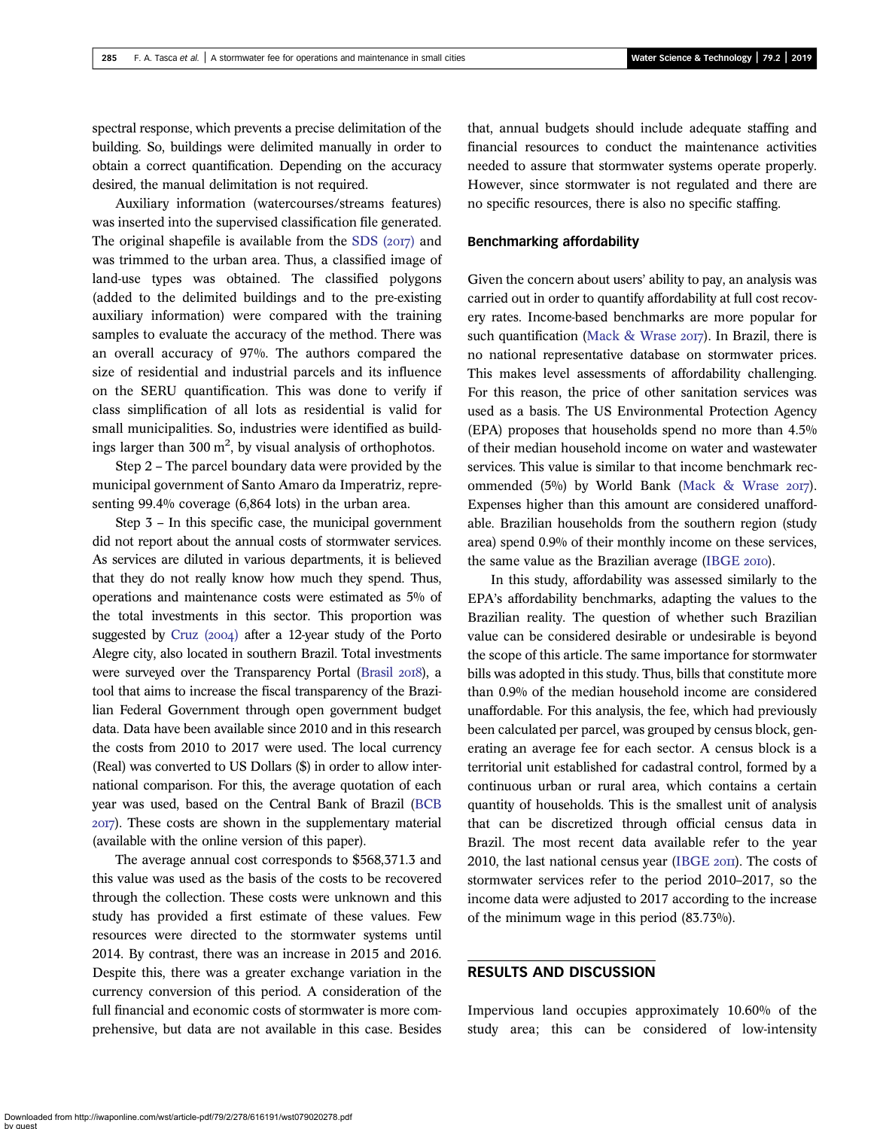spectral response, which prevents a precise delimitation of the building. So, buildings were delimited manually in order to obtain a correct quantification. Depending on the accuracy desired, the manual delimitation is not required.

Auxiliary information (watercourses/streams features) was inserted into the supervised classification file generated. The original shapefile is available from the SDS  $(20I)$  and was trimmed to the urban area. Thus, a classified image of land-use types was obtained. The classified polygons (added to the delimited buildings and to the pre-existing auxiliary information) were compared with the training samples to evaluate the accuracy of the method. There was an overall accuracy of 97%. The authors compared the size of residential and industrial parcels and its influence on the SERU quantification. This was done to verify if class simplification of all lots as residential is valid for small municipalities. So, industries were identified as buildings larger than  $300 \text{ m}^2$ , by visual analysis of orthophotos.

Step 2 – The parcel boundary data were provided by the municipal government of Santo Amaro da Imperatriz, representing 99.4% coverage (6,864 lots) in the urban area.

Step 3 – In this specific case, the municipal government did not report about the annual costs of stormwater services. As services are diluted in various departments, it is believed that they do not really know how much they spend. Thus, operations and maintenance costs were estimated as 5% of the total investments in this sector. This proportion was suggested by Cruz  $(2004)$  after a 12-year study of the Porto Alegre city, also located in southern Brazil. Total investments were surveyed over the Transparency Portal [\(Brasil](#page-11-0) 2018), a tool that aims to increase the fiscal transparency of the Brazilian Federal Government through open government budget data. Data have been available since 2010 and in this research the costs from 2010 to 2017 were used. The local currency (Real) was converted to US Dollars (\$) in order to allow international comparison. For this, the average quotation of each year was used, based on the Central Bank of Brazil [\(BCB](#page-11-0) ). These costs are shown in the supplementary material (available with the online version of this paper).

The average annual cost corresponds to \$568,371.3 and this value was used as the basis of the costs to be recovered through the collection. These costs were unknown and this study has provided a first estimate of these values. Few resources were directed to the stormwater systems until 2014. By contrast, there was an increase in 2015 and 2016. Despite this, there was a greater exchange variation in the currency conversion of this period. A consideration of the full financial and economic costs of stormwater is more comprehensive, but data are not available in this case. Besides that, annual budgets should include adequate staffing and financial resources to conduct the maintenance activities needed to assure that stormwater systems operate properly. However, since stormwater is not regulated and there are no specific resources, there is also no specific staffing.

#### Benchmarking affordability

Given the concern about users' ability to pay, an analysis was carried out in order to quantify affordability at full cost recovery rates. Income-based benchmarks are more popular for such quantification ([Mack & Wrase](#page-12-0) 2017). In Brazil, there is no national representative database on stormwater prices. This makes level assessments of affordability challenging. For this reason, the price of other sanitation services was used as a basis. The US Environmental Protection Agency (EPA) proposes that households spend no more than 4.5% of their median household income on water and wastewater services. This value is similar to that income benchmark rec-ommended (5%) by World Bank [\(Mack & Wrase](#page-12-0) 2017). Expenses higher than this amount are considered unaffordable. Brazilian households from the southern region (study area) spend 0.9% of their monthly income on these services, the same value as the Brazilian average  $(IBGE\ 2010)$  $(IBGE\ 2010)$ .

In this study, affordability was assessed similarly to the EPA's affordability benchmarks, adapting the values to the Brazilian reality. The question of whether such Brazilian value can be considered desirable or undesirable is beyond the scope of this article. The same importance for stormwater bills was adopted in this study. Thus, bills that constitute more than 0.9% of the median household income are considered unaffordable. For this analysis, the fee, which had previously been calculated per parcel, was grouped by census block, generating an average fee for each sector. A census block is a territorial unit established for cadastral control, formed by a continuous urban or rural area, which contains a certain quantity of households. This is the smallest unit of analysis that can be discretized through official census data in Brazil. The most recent data available refer to the year 2010, the last national census year [\(IBGE](#page-12-0)  $20\text{II}$ ). The costs of stormwater services refer to the period 2010–2017, so the income data were adjusted to 2017 according to the increase of the minimum wage in this period (83.73%).

# RESULTS AND DISCUSSION

Impervious land occupies approximately 10.60% of the study area; this can be considered of low-intensity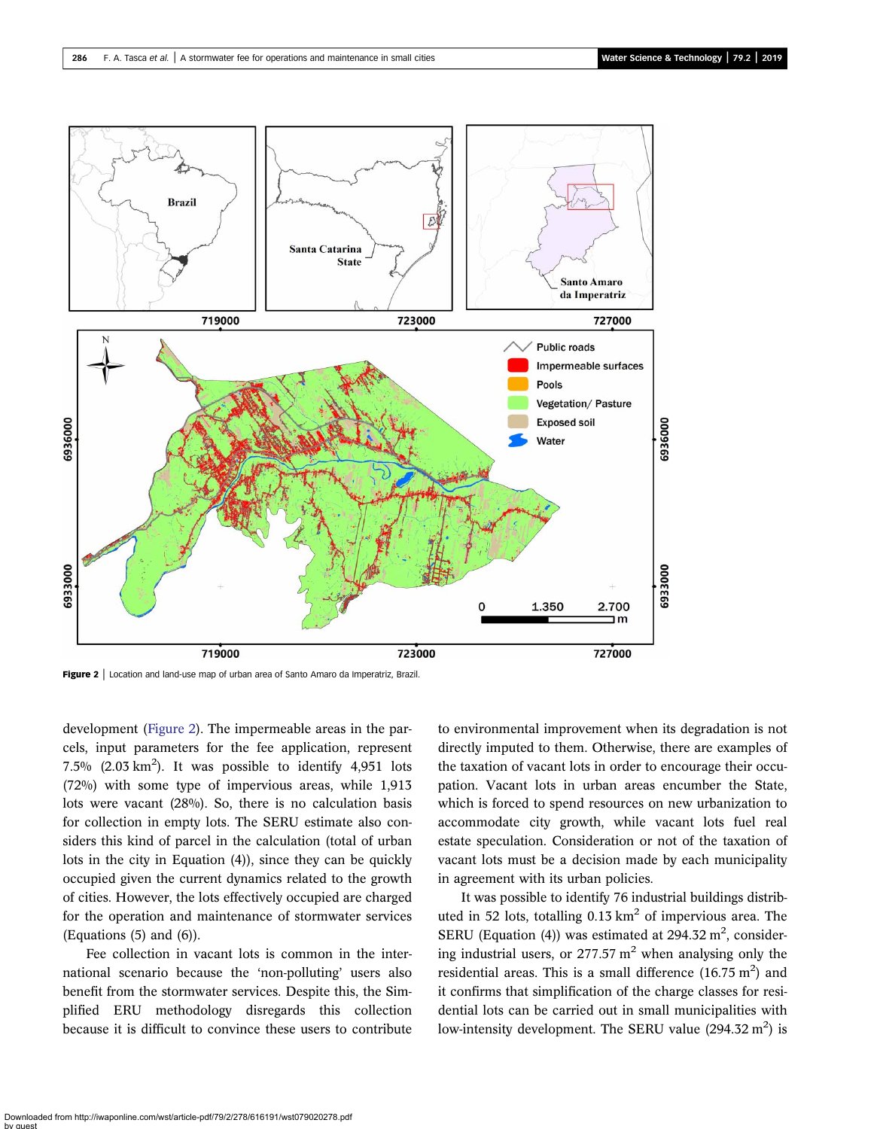

Figure 2 | Location and land-use map of urban area of Santo Amaro da Imperatriz, Brazil.

development (Figure 2). The impermeable areas in the parcels, input parameters for the fee application, represent 7.5% (2.03 km<sup>2</sup>). It was possible to identify 4,951 lots (72%) with some type of impervious areas, while 1,913 lots were vacant (28%). So, there is no calculation basis for collection in empty lots. The SERU estimate also considers this kind of parcel in the calculation (total of urban lots in the city in Equation (4)), since they can be quickly occupied given the current dynamics related to the growth of cities. However, the lots effectively occupied are charged for the operation and maintenance of stormwater services (Equations (5) and (6)).

Fee collection in vacant lots is common in the international scenario because the 'non-polluting' users also benefit from the stormwater services. Despite this, the Simplified ERU methodology disregards this collection because it is difficult to convince these users to contribute to environmental improvement when its degradation is not directly imputed to them. Otherwise, there are examples of the taxation of vacant lots in order to encourage their occupation. Vacant lots in urban areas encumber the State, which is forced to spend resources on new urbanization to accommodate city growth, while vacant lots fuel real estate speculation. Consideration or not of the taxation of vacant lots must be a decision made by each municipality in agreement with its urban policies.

It was possible to identify 76 industrial buildings distributed in 52 lots, totalling  $0.13 \text{ km}^2$  of impervious area. The SERU (Equation (4)) was estimated at 294.32  $m^2$ , considering industrial users, or  $277.57 \text{ m}^2$  when analysing only the residential areas. This is a small difference  $(16.75 \text{ m}^2)$  and it confirms that simplification of the charge classes for residential lots can be carried out in small municipalities with low-intensity development. The SERU value  $(294.32 \text{ m}^2)$  is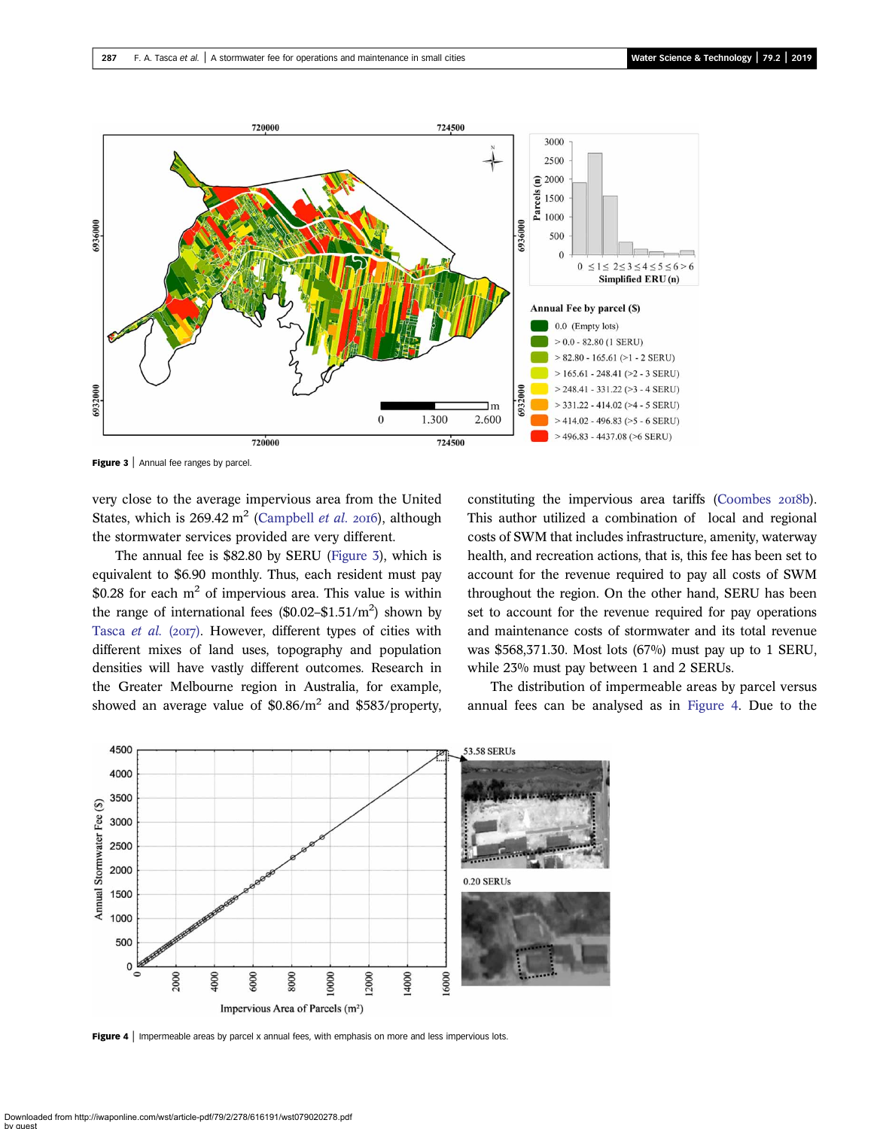<span id="page-9-0"></span>

Figure 3 | Annual fee ranges by parcel.

very close to the average impervious area from the United States, which is  $269.42 \text{ m}^2$  ([Campbell](#page-12-0) *et al.* 2016), although the stormwater services provided are very different.

The annual fee is \$82.80 by SERU (Figure 3), which is equivalent to \$6.90 monthly. Thus, each resident must pay \$0.28 for each  $m<sup>2</sup>$  of impervious area. This value is within the range of international fees  $(\$0.02-\$1.51/m^2)$  shown by [Tasca](#page-12-0) et al. (2017). However, different types of cities with different mixes of land uses, topography and population densities will have vastly different outcomes. Research in the Greater Melbourne region in Australia, for example, showed an average value of  $$0.86/m^2$  and  $$583/property$ , constituting the impervious area tariffs [\(Coombes](#page-12-0) 2018b). This author utilized a combination of local and regional costs of SWM that includes infrastructure, amenity, waterway health, and recreation actions, that is, this fee has been set to account for the revenue required to pay all costs of SWM throughout the region. On the other hand, SERU has been set to account for the revenue required for pay operations and maintenance costs of stormwater and its total revenue was \$568,371.30. Most lots (67%) must pay up to 1 SERU, while 23% must pay between 1 and 2 SERUs.

The distribution of impermeable areas by parcel versus annual fees can be analysed as in Figure 4. Due to the



Figure 4 | Impermeable areas by parcel x annual fees, with emphasis on more and less impervious lots.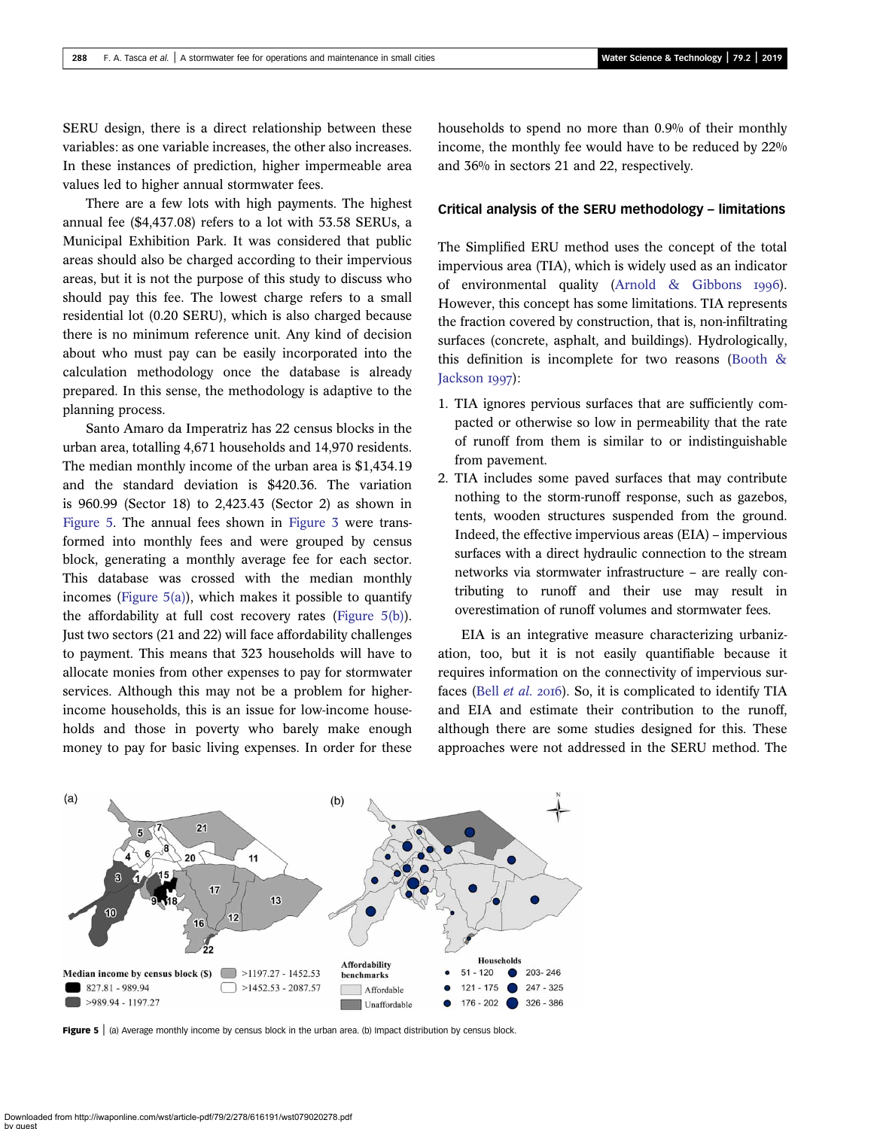SERU design, there is a direct relationship between these variables: as one variable increases, the other also increases. In these instances of prediction, higher impermeable area values led to higher annual stormwater fees.

There are a few lots with high payments. The highest annual fee (\$4,437.08) refers to a lot with 53.58 SERUs, a Municipal Exhibition Park. It was considered that public areas should also be charged according to their impervious areas, but it is not the purpose of this study to discuss who should pay this fee. The lowest charge refers to a small residential lot (0.20 SERU), which is also charged because there is no minimum reference unit. Any kind of decision about who must pay can be easily incorporated into the calculation methodology once the database is already prepared. In this sense, the methodology is adaptive to the planning process.

Santo Amaro da Imperatriz has 22 census blocks in the urban area, totalling 4,671 households and 14,970 residents. The median monthly income of the urban area is \$1,434.19 and the standard deviation is \$420.36. The variation is 960.99 (Sector 18) to 2,423.43 (Sector 2) as shown in Figure 5. The annual fees shown in [Figure 3](#page-9-0) were transformed into monthly fees and were grouped by census block, generating a monthly average fee for each sector. This database was crossed with the median monthly incomes (Figure 5(a)), which makes it possible to quantify the affordability at full cost recovery rates (Figure 5(b)). Just two sectors (21 and 22) will face affordability challenges to payment. This means that 323 households will have to allocate monies from other expenses to pay for stormwater services. Although this may not be a problem for higherincome households, this is an issue for low-income households and those in poverty who barely make enough money to pay for basic living expenses. In order for these households to spend no more than 0.9% of their monthly income, the monthly fee would have to be reduced by 22% and 36% in sectors 21 and 22, respectively.

#### Critical analysis of the SERU methodology – limitations

The Simplified ERU method uses the concept of the total impervious area (TIA), which is widely used as an indicator of environmental quality (Arnold  $\&$  Gibbons 1996). However, this concept has some limitations. TIA represents the fraction covered by construction, that is, non-infiltrating surfaces (concrete, asphalt, and buildings). Hydrologically, this definition is incomplete for two reasons ([Booth &](#page-11-0) [Jackson](#page-11-0) 1997):

- 1. TIA ignores pervious surfaces that are sufficiently compacted or otherwise so low in permeability that the rate of runoff from them is similar to or indistinguishable from pavement.
- 2. TIA includes some paved surfaces that may contribute nothing to the storm-runoff response, such as gazebos, tents, wooden structures suspended from the ground. Indeed, the effective impervious areas (EIA) – impervious surfaces with a direct hydraulic connection to the stream networks via stormwater infrastructure – are really contributing to runoff and their use may result in overestimation of runoff volumes and stormwater fees.

EIA is an integrative measure characterizing urbanization, too, but it is not easily quantifiable because it requires information on the connectivity of impervious surfaces (Bell *[et al.](#page-11-0)* 2016). So, it is complicated to identify TIA and EIA and estimate their contribution to the runoff, although there are some studies designed for this. These approaches were not addressed in the SERU method. The



Figure 5  $\vert$  (a) Average monthly income by census block in the urban area. (b) Impact distribution by census block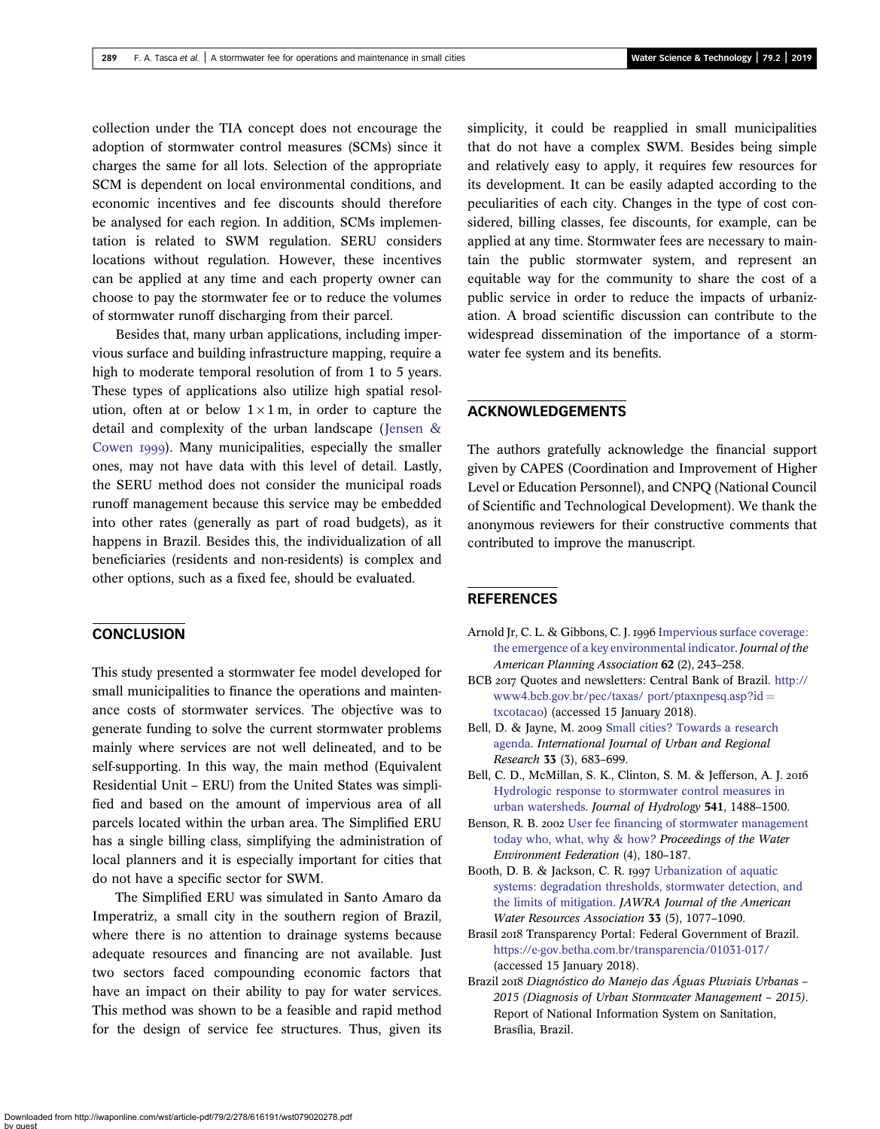<span id="page-11-0"></span>collection under the TIA concept does not encourage the adoption of stormwater control measures (SCMs) since it charges the same for all lots. Selection of the appropriate SCM is dependent on local environmental conditions, and economic incentives and fee discounts should therefore be analysed for each region. In addition, SCMs implementation is related to SWM regulation. SERU considers locations without regulation. However, these incentives can be applied at any time and each property owner can choose to pay the stormwater fee or to reduce the volumes of stormwater runoff discharging from their parcel.

Besides that, many urban applications, including impervious surface and building infrastructure mapping, require a high to moderate temporal resolution of from 1 to 5 years. These types of applications also utilize high spatial resolution, often at or below  $1 \times 1$  m, in order to capture the detail and complexity of the urban landscape ([Jensen &](#page-12-0) [Cowen](#page-12-0) 1999). Many municipalities, especially the smaller ones, may not have data with this level of detail. Lastly, the SERU method does not consider the municipal roads runoff management because this service may be embedded into other rates (generally as part of road budgets), as it happens in Brazil. Besides this, the individualization of all beneficiaries (residents and non-residents) is complex and other options, such as a fixed fee, should be evaluated.

# **CONCLUSION**

This study presented a stormwater fee model developed for small municipalities to finance the operations and maintenance costs of stormwater services. The objective was to generate funding to solve the current stormwater problems mainly where services are not well delineated, and to be self-supporting. In this way, the main method (Equivalent Residential Unit – ERU) from the United States was simplified and based on the amount of impervious area of all parcels located within the urban area. The Simplified ERU has a single billing class, simplifying the administration of local planners and it is especially important for cities that do not have a specific sector for SWM.

The Simplified ERU was simulated in Santo Amaro da Imperatriz, a small city in the southern region of Brazil, where there is no attention to drainage systems because adequate resources and financing are not available. Just two sectors faced compounding economic factors that have an impact on their ability to pay for water services. This method was shown to be a feasible and rapid method for the design of service fee structures. Thus, given its simplicity, it could be reapplied in small municipalities that do not have a complex SWM. Besides being simple and relatively easy to apply, it requires few resources for its development. It can be easily adapted according to the peculiarities of each city. Changes in the type of cost considered, billing classes, fee discounts, for example, can be applied at any time. Stormwater fees are necessary to maintain the public stormwater system, and represent an equitable way for the community to share the cost of a public service in order to reduce the impacts of urbanization. A broad scientific discussion can contribute to the widespread dissemination of the importance of a stormwater fee system and its benefits.

# ACKNOWLEDGEMENTS

The authors gratefully acknowledge the financial support given by CAPES (Coordination and Improvement of Higher Level or Education Personnel), and CNPQ (National Council of Scientific and Technological Development). We thank the anonymous reviewers for their constructive comments that contributed to improve the manuscript.

### **REFERENCES**

- Arnold Jr, C. L. & Gibbons, C. J. 1996 [Impervious surface coverage:](http://dx.doi.org/10.1080/01944369608975688) [the emergence of a key environmental indicator](http://dx.doi.org/10.1080/01944369608975688). Journal of the American Planning Association 62 (2), 243–258.
- BCB 2017 Quotes and newsletters: Central Bank of Brazil. [http://](http://www4.bcb.gov.br/pec/taxas/ port/ptaxnpesq.asp?id=txcotacao) [www4.bcb.gov.br/pec/taxas/ port/ptaxnpesq.asp?id](http://www4.bcb.gov.br/pec/taxas/ port/ptaxnpesq.asp?id=txcotacao) = [txcotacao\)](http://www4.bcb.gov.br/pec/taxas/ port/ptaxnpesq.asp?id=txcotacao) (accessed 15 January 2018).
- Bell, D. & Jayne, M. 2009 [Small cities? Towards a research](http://dx.doi.org/10.1111/j.1468-2427.2009.00886.x) [agenda.](http://dx.doi.org/10.1111/j.1468-2427.2009.00886.x) International Journal of Urban and Regional Research 33 (3), 683–699.
- Bell, C. D., McMillan, S. K., Clinton, S. M. & Jefferson, A. J. 2016 [Hydrologic response to stormwater control measures in](http://dx.doi.org/10.1016/j.jhydrol.2016.08.049) [urban watersheds.](http://dx.doi.org/10.1016/j.jhydrol.2016.08.049) Journal of Hydrology 541, 1488–1500.
- Benson, R. B. 2002 [User fee financing of stormwater management](http://dx.doi.org/10.2175/193864702785301439) [today who, what, why & how](http://dx.doi.org/10.2175/193864702785301439)? Proceedings of the Water Environment Federation (4), 180–187.
- Booth, D. B. & Jackson, C. R. 1997 [Urbanization of aquatic](http://dx.doi.org/10.1111/j.1752-1688.1997.tb04126.x) [systems: degradation thresholds, stormwater detection, and](http://dx.doi.org/10.1111/j.1752-1688.1997.tb04126.x) [the limits of mitigation.](http://dx.doi.org/10.1111/j.1752-1688.1997.tb04126.x) JAWRA Journal of the American Water Resources Association 33 (5), 1077–1090.
- Brasil 2018 Transparency Portal: Federal Government of Brazil. <https://e-gov.betha.com.br/transparencia/01031-017/> (accessed 15 January 2018).
- Brazil 2018 Diagnóstico do Manejo das Águas Pluviais Urbanas -2015 (Diagnosis of Urban Stormwater Management – 2015). Report of National Information System on Sanitation, Brasília, Brazil.